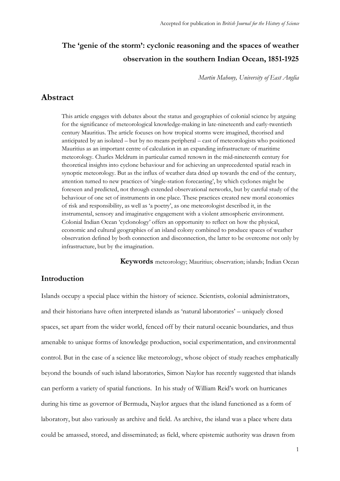# **The 'genie of the storm': cyclonic reasoning and the spaces of weather observation in the southern Indian Ocean, 1851-1925**

*Martin Mahony, University of East Anglia*

# **Abstract**

This article engages with debates about the status and geographies of colonial science by arguing for the significance of meteorological knowledge-making in late-nineteenth and early-twentieth century Mauritius. The article focuses on how tropical storms were imagined, theorised and anticipated by an isolated – but by no means peripheral – cast of meteorologists who positioned Mauritius as an important centre of calculation in an expanding infrastructure of maritime meteorology. Charles Meldrum in particular earned renown in the mid-nineteenth century for theoretical insights into cyclone behaviour and for achieving an unprecedented spatial reach in synoptic meteorology. But as the influx of weather data dried up towards the end of the century, attention turned to new practices of 'single-station forecasting', by which cyclones might be foreseen and predicted, not through extended observational networks, but by careful study of the behaviour of one set of instruments in one place. These practices created new moral economies of risk and responsibility, as well as 'a poetry', as one meteorologist described it, in the instrumental, sensory and imaginative engagement with a violent atmospheric environment. Colonial Indian Ocean 'cyclonology' offers an opportunity to reflect on how the physical, economic and cultural geographies of an island colony combined to produce spaces of weather observation defined by both connection and disconnection, the latter to be overcome not only by infrastructure, but by the imagination.

**Keywords** meteorology; Mauritius; observation; islands; Indian Ocean

## **Introduction**

Islands occupy a special place within the history of science. Scientists, colonial administrators, and their historians have often interpreted islands as 'natural laboratories' – uniquely closed spaces, set apart from the wider world, fenced off by their natural oceanic boundaries, and thus amenable to unique forms of knowledge production, social experimentation, and environmental control. But in the case of a science like meteorology, whose object of study reaches emphatically beyond the bounds of such island laboratories, Simon Naylor has recently suggested that islands can perform a variety of spatial functions. In his study of William Reid's work on hurricanes during his time as governor of Bermuda, Naylor argues that the island functioned as a form of laboratory, but also variously as archive and field. As archive, the island was a place where data could be amassed, stored, and disseminated; as field, where epistemic authority was drawn from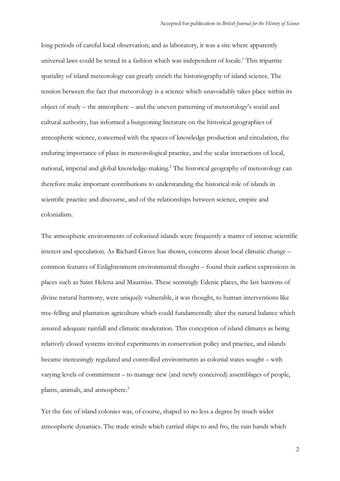long periods of careful local observation; and as laboratory, it was a site where apparently universal laws could be tested in a fashion which was independent of locale.<sup>1</sup> This tripartite spatiality of island meteorology can greatly enrich the historiography of island science. The tension between the fact that meteorology is a science which unavoidably takes place within its object of study – the atmosphere – and the uneven patterning of meteorology's social and cultural authority, has informed a burgeoning literature on the historical geographies of atmospheric science, concerned with the spaces of knowledge production and circulation, the enduring importance of place in meteorological practice, and the scalar interactions of local, national, imperial and global knowledge-making.2 The historical geography of meteorology can therefore make important contributions to understanding the historical role of islands in scientific practice and discourse, and of the relationships between science, empire and colonialism.

The atmospheric environments of colonised islands were frequently a matter of intense scientific interest and speculation. As Richard Grove has shown, concerns about local climatic change – common features of Enlightenment environmental thought – found their earliest expressions in places such as Saint Helena and Mauritius. These seemingly Edenic places, the last bastions of divine natural harmony, were uniquely vulnerable, it was thought, to human interventions like tree-felling and plantation agriculture which could fundamentally alter the natural balance which assured adequate rainfall and climatic moderation. This conception of island climates as being relatively closed systems invited experiments in conservation policy and practice, and islands became increasingly regulated and controlled environments as colonial states sought – with varying levels of commitment – to manage new (and newly conceived) assemblages of people, plants, animals, and atmosphere. 3

Yet the fate of island colonies was, of course, shaped to no less a degree by much wider atmospheric dynamics. The trade winds which carried ships to and fro, the rain bands which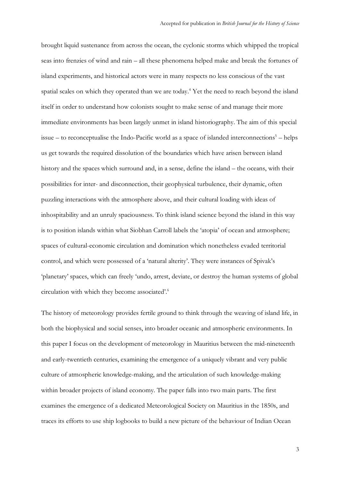brought liquid sustenance from across the ocean, the cyclonic storms which whipped the tropical seas into frenzies of wind and rain – all these phenomena helped make and break the fortunes of island experiments, and historical actors were in many respects no less conscious of the vast spatial scales on which they operated than we are today.<sup>4</sup> Yet the need to reach beyond the island itself in order to understand how colonists sought to make sense of and manage their more immediate environments has been largely unmet in island historiography. The aim of this special issue – to reconceptualise the Indo-Pacific world as a space of islanded interconnections<sup>5</sup> – helps us get towards the required dissolution of the boundaries which have arisen between island history and the spaces which surround and, in a sense, define the island – the oceans, with their possibilities for inter- and disconnection, their geophysical turbulence, their dynamic, often puzzling interactions with the atmosphere above, and their cultural loading with ideas of inhospitability and an unruly spaciousness. To think island science beyond the island in this way is to position islands within what Siobhan Carroll labels the 'atopia' of ocean and atmosphere; spaces of cultural-economic circulation and domination which nonetheless evaded territorial control, and which were possessed of a 'natural alterity'. They were instances of Spivak's 'planetary' spaces, which can freely 'undo, arrest, deviate, or destroy the human systems of global circulation with which they become associated'. 6

The history of meteorology provides fertile ground to think through the weaving of island life, in both the biophysical and social senses, into broader oceanic and atmospheric environments. In this paper I focus on the development of meteorology in Mauritius between the mid-nineteenth and early-twentieth centuries, examining the emergence of a uniquely vibrant and very public culture of atmospheric knowledge-making, and the articulation of such knowledge-making within broader projects of island economy. The paper falls into two main parts. The first examines the emergence of a dedicated Meteorological Society on Mauritius in the 1850s, and traces its efforts to use ship logbooks to build a new picture of the behaviour of Indian Ocean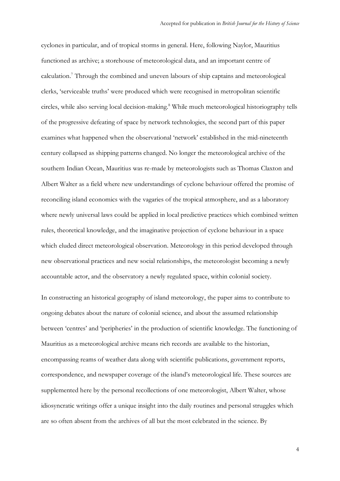cyclones in particular, and of tropical storms in general. Here, following Naylor, Mauritius functioned as archive; a storehouse of meteorological data, and an important centre of calculation.7 Through the combined and uneven labours of ship captains and meteorological clerks, 'serviceable truths' were produced which were recognised in metropolitan scientific circles, while also serving local decision-making.<sup>8</sup> While much meteorological historiography tells of the progressive defeating of space by network technologies, the second part of this paper examines what happened when the observational 'network' established in the mid-nineteenth century collapsed as shipping patterns changed. No longer the meteorological archive of the southern Indian Ocean, Mauritius was re-made by meteorologists such as Thomas Claxton and Albert Walter as a field where new understandings of cyclone behaviour offered the promise of reconciling island economics with the vagaries of the tropical atmosphere, and as a laboratory where newly universal laws could be applied in local predictive practices which combined written rules, theoretical knowledge, and the imaginative projection of cyclone behaviour in a space which eluded direct meteorological observation. Meteorology in this period developed through new observational practices and new social relationships, the meteorologist becoming a newly accountable actor, and the observatory a newly regulated space, within colonial society.

In constructing an historical geography of island meteorology, the paper aims to contribute to ongoing debates about the nature of colonial science, and about the assumed relationship between 'centres' and 'peripheries' in the production of scientific knowledge. The functioning of Mauritius as a meteorological archive means rich records are available to the historian, encompassing reams of weather data along with scientific publications, government reports, correspondence, and newspaper coverage of the island's meteorological life. These sources are supplemented here by the personal recollections of one meteorologist, Albert Walter, whose idiosyncratic writings offer a unique insight into the daily routines and personal struggles which are so often absent from the archives of all but the most celebrated in the science. By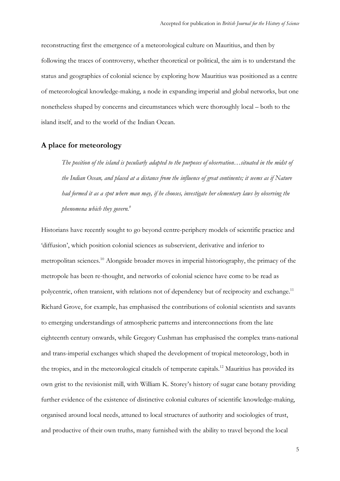reconstructing first the emergence of a meteorological culture on Mauritius, and then by following the traces of controversy, whether theoretical or political, the aim is to understand the status and geographies of colonial science by exploring how Mauritius was positioned as a centre of meteorological knowledge-making, a node in expanding imperial and global networks, but one nonetheless shaped by concerns and circumstances which were thoroughly local – both to the island itself, and to the world of the Indian Ocean.

### **A place for meteorology**

*The position of the island is peculiarly adapted to the purposes of observation…situated in the midst of the Indian Ocean, and placed at a distance from the influence of great continents; it seems as if Nature had formed it as a spot where man may, if he chooses, investigate her elementary laws by observing the phenomena which they govern. 9*

Historians have recently sought to go beyond centre-periphery models of scientific practice and 'diffusion', which position colonial sciences as subservient, derivative and inferior to metropolitan sciences.10 Alongside broader moves in imperial historiography, the primacy of the metropole has been re-thought, and networks of colonial science have come to be read as polycentric, often transient, with relations not of dependency but of reciprocity and exchange.<sup>11</sup> Richard Grove, for example, has emphasised the contributions of colonial scientists and savants to emerging understandings of atmospheric patterns and interconnections from the late eighteenth century onwards, while Gregory Cushman has emphasised the complex trans-national and trans-imperial exchanges which shaped the development of tropical meteorology, both in the tropics, and in the meteorological citadels of temperate capitals. <sup>12</sup> Mauritius has provided its own grist to the revisionist mill, with William K. Storey's history of sugar cane botany providing further evidence of the existence of distinctive colonial cultures of scientific knowledge-making, organised around local needs, attuned to local structures of authority and sociologies of trust, and productive of their own truths, many furnished with the ability to travel beyond the local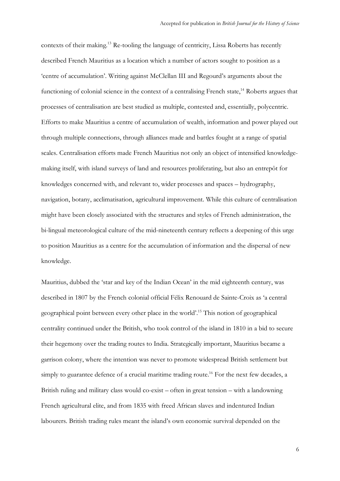contexts of their making.13 Re-tooling the language of centricity, Lissa Roberts has recently described French Mauritius as a location which a number of actors sought to position as a 'centre of accumulation'. Writing against McClellan III and Regourd's arguments about the functioning of colonial science in the context of a centralising French state,<sup>14</sup> Roberts argues that processes of centralisation are best studied as multiple, contested and, essentially, polycentric. Efforts to make Mauritius a centre of accumulation of wealth, information and power played out through multiple connections, through alliances made and battles fought at a range of spatial scales. Centralisation efforts made French Mauritius not only an object of intensified knowledgemaking itself, with island surveys of land and resources proliferating, but also an entrepôt for knowledges concerned with, and relevant to, wider processes and spaces – hydrography, navigation, botany, acclimatisation, agricultural improvement. While this culture of centralisation might have been closely associated with the structures and styles of French administration, the bi-lingual meteorological culture of the mid-nineteenth century reflects a deepening of this urge to position Mauritius as a centre for the accumulation of information and the dispersal of new knowledge.

Mauritius, dubbed the 'star and key of the Indian Ocean' in the mid eighteenth century, was described in 1807 by the French colonial official Félix Renouard de Sainte-Croix as 'a central geographical point between every other place in the world'.15 This notion of geographical centrality continued under the British, who took control of the island in 1810 in a bid to secure their hegemony over the trading routes to India. Strategically important, Mauritius became a garrison colony, where the intention was never to promote widespread British settlement but simply to guarantee defence of a crucial maritime trading route.<sup>16</sup> For the next few decades, a British ruling and military class would co-exist – often in great tension – with a landowning French agricultural elite, and from 1835 with freed African slaves and indentured Indian labourers. British trading rules meant the island's own economic survival depended on the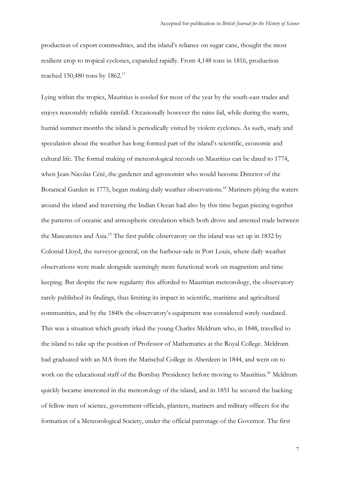production of export commodities, and the island's reliance on sugar cane, thought the most resilient crop to tropical cyclones, expanded rapidly. From 4,148 tons in 1816, production reached 150,480 tons by 1862.<sup>17</sup>

Lying within the tropics, Mauritius is cooled for most of the year by the south-east trades and enjoys reasonably reliable rainfall. Occasionally however the rains fail, while during the warm, humid summer months the island is periodically visited by violent cyclones. As such, study and speculation about the weather has long formed part of the island's scientific, economic and cultural life. The formal making of meteorological records on Mauritius can be dated to 1774, when Jean-Nicolas Céré, the gardener and agronomist who would become Director of the Botanical Garden in 1775, began making daily weather observations.<sup>18</sup> Mariners plying the waters around the island and traversing the Indian Ocean had also by this time begun piecing together the patterns of oceanic and atmospheric circulation which both drove and arrested trade between the Mascarenes and Asia.19 The first public observatory on the island was set up in 1832 by Colonial Lloyd, the surveyor-general, on the harbour-side in Port Louis, where daily weather observations were made alongside seemingly more functional work on magnetism and time keeping. But despite the new regularity this afforded to Mauritian meteorology, the observatory rarely published its findings, thus limiting its impact in scientific, maritime and agricultural communities, and by the 1840s the observatory's equipment was considered sorely outdated. This was a situation which greatly irked the young Charles Meldrum who, in 1848, travelled to the island to take up the position of Professor of Mathematics at the Royal College. Meldrum had graduated with an MA from the Marischal College in Aberdeen in 1844, and went on to work on the educational staff of the Bombay Presidency before moving to Mauritius.<sup>20</sup> Meldrum quickly became interested in the meteorology of the island, and in 1851 he secured the backing of fellow men of science, government officials, planters, mariners and military officers for the formation of a Meteorological Society, under the official patronage of the Governor. The first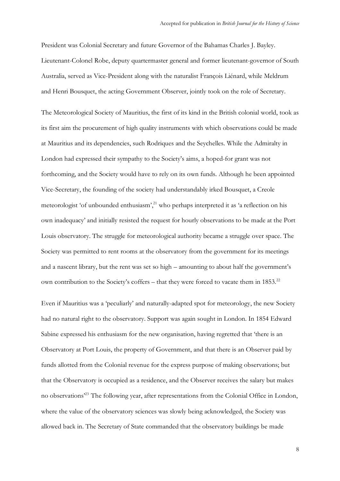President was Colonial Secretary and future Governor of the Bahamas Charles J. Bayley. Lieutenant-Colonel Robe, deputy quartermaster general and former lieutenant-governor of South Australia, served as Vice-President along with the naturalist François Liénard, while Meldrum and Henri Bousquet, the acting Government Observer, jointly took on the role of Secretary.

The Meteorological Society of Mauritius, the first of its kind in the British colonial world, took as its first aim the procurement of high quality instruments with which observations could be made at Mauritius and its dependencies, such Rodriques and the Seychelles. While the Admiralty in London had expressed their sympathy to the Society's aims, a hoped-for grant was not forthcoming, and the Society would have to rely on its own funds. Although he been appointed Vice-Secretary, the founding of the society had understandably irked Bousquet, a Creole meteorologist 'of unbounded enthusiasm',<sup>21</sup> who perhaps interpreted it as 'a reflection on his own inadequacy' and initially resisted the request for hourly observations to be made at the Port Louis observatory. The struggle for meteorological authority became a struggle over space. The Society was permitted to rent rooms at the observatory from the government for its meetings and a nascent library, but the rent was set so high – amounting to about half the government's own contribution to the Society's coffers – that they were forced to vacate them in 1853.<sup>22</sup>

Even if Mauritius was a 'peculiarly' and naturally-adapted spot for meteorology, the new Society had no natural right to the observatory. Support was again sought in London. In 1854 Edward Sabine expressed his enthusiasm for the new organisation, having regretted that 'there is an Observatory at Port Louis, the property of Government, and that there is an Observer paid by funds allotted from the Colonial revenue for the express purpose of making observations; but that the Observatory is occupied as a residence, and the Observer receives the salary but makes no observations'23 The following year, after representations from the Colonial Office in London, where the value of the observatory sciences was slowly being acknowledged, the Society was allowed back in. The Secretary of State commanded that the observatory buildings be made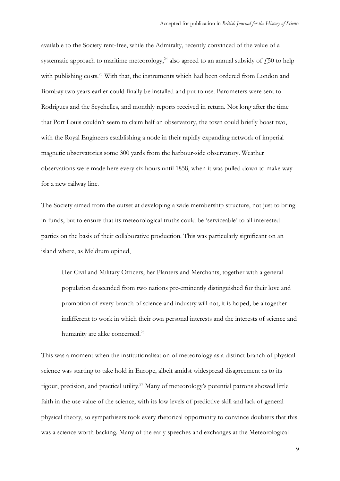available to the Society rent-free, while the Admiralty, recently convinced of the value of a systematic approach to maritime meteorology,<sup>24</sup> also agreed to an annual subsidy of  $\ell$ 50 to help with publishing costs.<sup>25</sup> With that, the instruments which had been ordered from London and Bombay two years earlier could finally be installed and put to use. Barometers were sent to Rodrigues and the Seychelles, and monthly reports received in return. Not long after the time that Port Louis couldn't seem to claim half an observatory, the town could briefly boast two, with the Royal Engineers establishing a node in their rapidly expanding network of imperial magnetic observatories some 300 yards from the harbour-side observatory. Weather observations were made here every six hours until 1858, when it was pulled down to make way for a new railway line.

The Society aimed from the outset at developing a wide membership structure, not just to bring in funds, but to ensure that its meteorological truths could be 'serviceable' to all interested parties on the basis of their collaborative production. This was particularly significant on an island where, as Meldrum opined,

Her Civil and Military Officers, her Planters and Merchants, together with a general population descended from two nations pre-eminently distinguished for their love and promotion of every branch of science and industry will not, it is hoped, be altogether indifferent to work in which their own personal interests and the interests of science and humanity are alike concerned.<sup>26</sup>

This was a moment when the institutionalisation of meteorology as a distinct branch of physical science was starting to take hold in Europe, albeit amidst widespread disagreement as to its rigour, precision, and practical utility.27 Many of meteorology's potential patrons showed little faith in the use value of the science, with its low levels of predictive skill and lack of general physical theory, so sympathisers took every rhetorical opportunity to convince doubters that this was a science worth backing. Many of the early speeches and exchanges at the Meteorological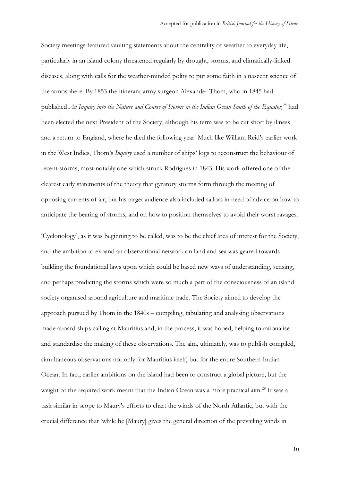Society meetings featured vaulting statements about the centrality of weather to everyday life, particularly in an island colony threatened regularly by drought, storms, and climatically-linked diseases, along with calls for the weather-minded polity to put some faith in a nascent science of the atmosphere. By 1853 the itinerant army surgeon Alexander Thom, who in 1845 had published *An Inquiry into the Nature and Course of Storms in the Indian Ocean South of the Equator*,<sup>28</sup> had been elected the next President of the Society, although his term was to be cut short by illness and a return to England, where he died the following year. Much like William Reid's earlier work in the West Indies, Thom's *Inquiry* used a number of ships' logs to reconstruct the behaviour of recent storms, most notably one which struck Rodrigues in 1843. His work offered one of the clearest early statements of the theory that gyratory storms form through the meeting of opposing currents of air, but his target audience also included sailors in need of advice on how to anticipate the bearing of storms, and on how to position themselves to avoid their worst ravages.

'Cyclonology', as it was beginning to be called, was to be the chief area of interest for the Society, and the ambition to expand an observational network on land and sea was geared towards building the foundational laws upon which could be based new ways of understanding, sensing, and perhaps predicting the storms which were so much a part of the consciousness of an island society organised around agriculture and maritime trade. The Society aimed to develop the approach pursued by Thom in the 1840s – compiling, tabulating and analysing observations made aboard ships calling at Mauritius and, in the process, it was hoped, helping to rationalise and standardise the making of these observations. The aim, ultimately, was to publish compiled, simultaneous observations not only for Mauritius itself, but for the entire Southern Indian Ocean. In fact, earlier ambitions on the island had been to construct a global picture, but the weight of the required work meant that the Indian Ocean was a more practical aim.<sup>29</sup> It was a task similar in scope to Maury's efforts to chart the winds of the North Atlantic, but with the crucial difference that 'while he [Maury] gives the general direction of the prevailing winds in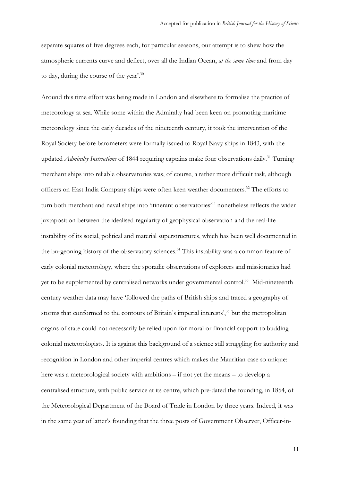separate squares of five degrees each, for particular seasons, our attempt is to shew how the atmospheric currents curve and deflect, over all the Indian Ocean, *at the same time* and from day to day, during the course of the year'.30

Around this time effort was being made in London and elsewhere to formalise the practice of meteorology at sea. While some within the Admiralty had been keen on promoting maritime meteorology since the early decades of the nineteenth century, it took the intervention of the Royal Society before barometers were formally issued to Royal Navy ships in 1843, with the updated *Admiralty Instructions* of 1844 requiring captains make four observations daily.<sup>31</sup> Turning merchant ships into reliable observatories was, of course, a rather more difficult task, although officers on East India Company ships were often keen weather documenters. <sup>32</sup> The efforts to turn both merchant and naval ships into 'itinerant observatories'<sup>33</sup> nonetheless reflects the wider juxtaposition between the idealised regularity of geophysical observation and the real-life instability of its social, political and material superstructures, which has been well documented in the burgeoning history of the observatory sciences. <sup>34</sup> This instability was a common feature of early colonial meteorology, where the sporadic observations of explorers and missionaries had yet to be supplemented by centralised networks under governmental control.<sup>35</sup> Mid-nineteenth century weather data may have 'followed the paths of British ships and traced a geography of storms that conformed to the contours of Britain's imperial interests',<sup>36</sup> but the metropolitan organs of state could not necessarily be relied upon for moral or financial support to budding colonial meteorologists. It is against this background of a science still struggling for authority and recognition in London and other imperial centres which makes the Mauritian case so unique: here was a meteorological society with ambitions – if not yet the means – to develop a centralised structure, with public service at its centre, which pre-dated the founding, in 1854, of the Meteorological Department of the Board of Trade in London by three years. Indeed, it was in the same year of latter's founding that the three posts of Government Observer, Officer-in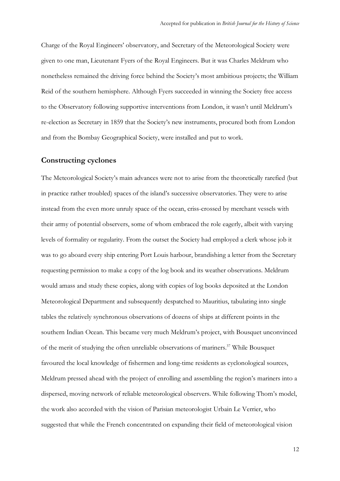Charge of the Royal Engineers' observatory, and Secretary of the Meteorological Society were given to one man, Lieutenant Fyers of the Royal Engineers. But it was Charles Meldrum who nonetheless remained the driving force behind the Society's most ambitious projects; the William Reid of the southern hemisphere. Although Fyers succeeded in winning the Society free access to the Observatory following supportive interventions from London, it wasn't until Meldrum's re-election as Secretary in 1859 that the Society's new instruments, procured both from London and from the Bombay Geographical Society, were installed and put to work.

#### **Constructing cyclones**

The Meteorological Society's main advances were not to arise from the theoretically rarefied (but in practice rather troubled) spaces of the island's successive observatories. They were to arise instead from the even more unruly space of the ocean, criss-crossed by merchant vessels with their army of potential observers, some of whom embraced the role eagerly, albeit with varying levels of formality or regularity. From the outset the Society had employed a clerk whose job it was to go aboard every ship entering Port Louis harbour, brandishing a letter from the Secretary requesting permission to make a copy of the log book and its weather observations. Meldrum would amass and study these copies, along with copies of log books deposited at the London Meteorological Department and subsequently despatched to Mauritius, tabulating into single tables the relatively synchronous observations of dozens of ships at different points in the southern Indian Ocean. This became very much Meldrum's project, with Bousquet unconvinced of the merit of studying the often unreliable observations of mariners.<sup>37</sup> While Bousquet favoured the local knowledge of fishermen and long-time residents as cyclonological sources, Meldrum pressed ahead with the project of enrolling and assembling the region's mariners into a dispersed, moving network of reliable meteorological observers. While following Thom's model, the work also accorded with the vision of Parisian meteorologist Urbain Le Verrier, who suggested that while the French concentrated on expanding their field of meteorological vision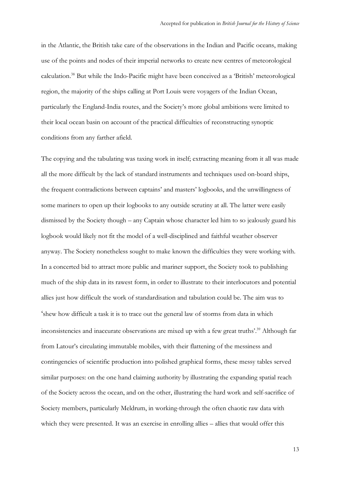in the Atlantic, the British take care of the observations in the Indian and Pacific oceans, making use of the points and nodes of their imperial networks to create new centres of meteorological calculation. <sup>38</sup> But while the Indo-Pacific might have been conceived as a 'British' meteorological region, the majority of the ships calling at Port Louis were voyagers of the Indian Ocean, particularly the England-India routes, and the Society's more global ambitions were limited to their local ocean basin on account of the practical difficulties of reconstructing synoptic conditions from any farther afield.

The copying and the tabulating was taxing work in itself; extracting meaning from it all was made all the more difficult by the lack of standard instruments and techniques used on-board ships, the frequent contradictions between captains' and masters' logbooks, and the unwillingness of some mariners to open up their logbooks to any outside scrutiny at all. The latter were easily dismissed by the Society though – any Captain whose character led him to so jealously guard his logbook would likely not fit the model of a well-disciplined and faithful weather observer anyway. The Society nonetheless sought to make known the difficulties they were working with. In a concerted bid to attract more public and mariner support, the Society took to publishing much of the ship data in its rawest form, in order to illustrate to their interlocutors and potential allies just how difficult the work of standardisation and tabulation could be. The aim was to 'shew how difficult a task it is to trace out the general law of storms from data in which inconsistencies and inaccurate observations are mixed up with a few great truths'.<sup>39</sup> Although far from Latour's circulating immutable mobiles, with their flattening of the messiness and contingencies of scientific production into polished graphical forms, these messy tables served similar purposes: on the one hand claiming authority by illustrating the expanding spatial reach of the Society across the ocean, and on the other, illustrating the hard work and self-sacrifice of Society members, particularly Meldrum, in working-through the often chaotic raw data with which they were presented. It was an exercise in enrolling allies – allies that would offer this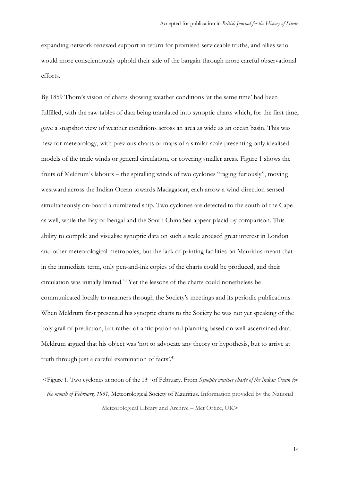expanding network renewed support in return for promised serviceable truths, and allies who would more conscientiously uphold their side of the bargain through more careful observational efforts.

By 1859 Thom's vision of charts showing weather conditions 'at the same time' had been fulfilled, with the raw tables of data being translated into synoptic charts which, for the first time, gave a snapshot view of weather conditions across an area as wide as an ocean basin. This was new for meteorology, with previous charts or maps of a similar scale presenting only idealised models of the trade winds or general circulation, or covering smaller areas. Figure 1 shows the fruits of Meldrum's labours – the spiralling winds of two cyclones "raging furiously", moving westward across the Indian Ocean towards Madagascar, each arrow a wind direction sensed simultaneously on-board a numbered ship. Two cyclones are detected to the south of the Cape as well, while the Bay of Bengal and the South China Sea appear placid by comparison. This ability to compile and visualise synoptic data on such a scale aroused great interest in London and other meteorological metropoles, but the lack of printing facilities on Mauritius meant that in the immediate term, only pen-and-ink copies of the charts could be produced, and their circulation was initially limited.40 Yet the lessons of the charts could nonetheless be communicated locally to mariners through the Society's meetings and its periodic publications. When Meldrum first presented his synoptic charts to the Society he was not yet speaking of the holy grail of prediction, but rather of anticipation and planning based on well-ascertained data. Meldrum argued that his object was 'not to advocate any theory or hypothesis, but to arrive at truth through just a careful examination of facts'.<sup>41</sup>

<sup>&</sup>lt;Figure 1. Two cyclones at noon of the 13th of February. From *Synoptic weather charts of the Indian Ocean for the month of February, 1861*, Meteorological Society of Mauritius. Information provided by the National Meteorological Library and Archive – Met Office, UK>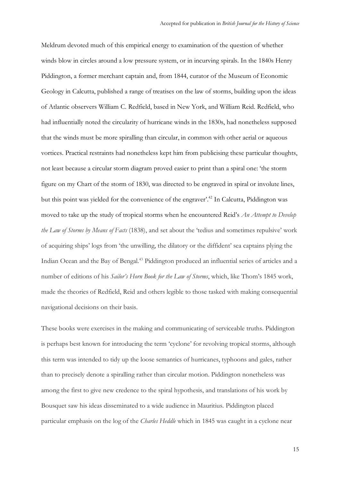Meldrum devoted much of this empirical energy to examination of the question of whether winds blow in circles around a low pressure system, or in incurving spirals. In the 1840s Henry Piddington, a former merchant captain and, from 1844, curator of the Museum of Economic Geology in Calcutta, published a range of treatises on the law of storms, building upon the ideas of Atlantic observers William C. Redfield, based in New York, and William Reid. Redfield, who had influentially noted the circularity of hurricane winds in the 1830s, had nonetheless supposed that the winds must be more spiralling than circular, in common with other aerial or aqueous vortices. Practical restraints had nonetheless kept him from publicising these particular thoughts, not least because a circular storm diagram proved easier to print than a spiral one: 'the storm figure on my Chart of the storm of 1830, was directed to be engraved in spiral or involute lines, but this point was yielded for the convenience of the engraver<sup>2,42</sup> In Calcutta, Piddington was moved to take up the study of tropical storms when he encountered Reid's *An Attempt to Develop the Law of Storms by Means of Facts* (1838), and set about the 'tedius and sometimes repulsive' work of acquiring ships' logs from 'the unwilling, the dilatory or the diffident' sea captains plying the Indian Ocean and the Bay of Bengal.<sup>43</sup> Piddington produced an influential series of articles and a number of editions of his *Sailor's Horn Book for the Law of Storms*, which, like Thom's 1845 work, made the theories of Redfield, Reid and others legible to those tasked with making consequential navigational decisions on their basis.

These books were exercises in the making and communicating of serviceable truths. Piddington is perhaps best known for introducing the term 'cyclone' for revolving tropical storms, although this term was intended to tidy up the loose semantics of hurricanes, typhoons and gales, rather than to precisely denote a spiralling rather than circular motion. Piddington nonetheless was among the first to give new credence to the spiral hypothesis, and translations of his work by Bousquet saw his ideas disseminated to a wide audience in Mauritius. Piddington placed particular emphasis on the log of the *Charles Heddle* which in 1845 was caught in a cyclone near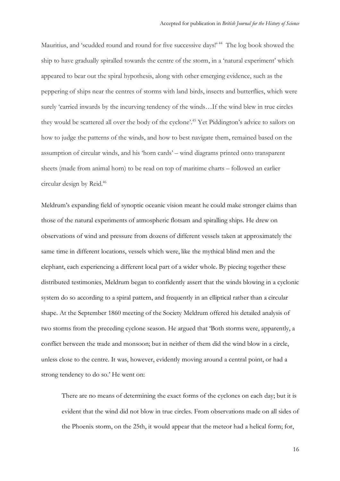Mauritius, and 'scudded round and round for five successive days!' <sup>44</sup> The log book showed the ship to have gradually spiralled towards the centre of the storm, in a 'natural experiment' which appeared to bear out the spiral hypothesis, along with other emerging evidence, such as the peppering of ships near the centres of storms with land birds, insects and butterflies, which were surely 'carried inwards by the incurving tendency of the winds…If the wind blew in true circles they would be scattered all over the body of the cyclone'. <sup>45</sup> Yet Piddington's advice to sailors on how to judge the patterns of the winds, and how to best navigate them, remained based on the assumption of circular winds, and his 'horn cards' – wind diagrams printed onto transparent sheets (made from animal horn) to be read on top of maritime charts – followed an earlier circular design by Reid.46

Meldrum's expanding field of synoptic oceanic vision meant he could make stronger claims than those of the natural experiments of atmospheric flotsam and spiralling ships. He drew on observations of wind and pressure from dozens of different vessels taken at approximately the same time in different locations, vessels which were, like the mythical blind men and the elephant, each experiencing a different local part of a wider whole. By piecing together these distributed testimonies, Meldrum began to confidently assert that the winds blowing in a cyclonic system do so according to a spiral pattern, and frequently in an elliptical rather than a circular shape. At the September 1860 meeting of the Society Meldrum offered his detailed analysis of two storms from the preceding cyclone season. He argued that 'Both storms were, apparently, a conflict between the trade and monsoon; but in neither of them did the wind blow in a circle, unless close to the centre. It was, however, evidently moving around a central point, or had a strong tendency to do so.' He went on:

There are no means of determining the exact forms of the cyclones on each day; but it is evident that the wind did not blow in true circles. From observations made on all sides of the Phoenix storm, on the 25th, it would appear that the meteor had a helical form; for,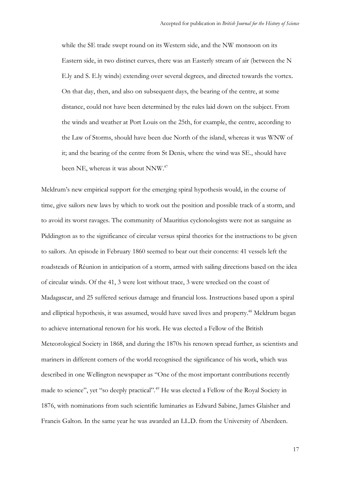while the SE trade swept round on its Western side, and the NW monsoon on its Eastern side, in two distinct curves, there was an Easterly stream of air (between the N E.ly and S. E.ly winds) extending over several degrees, and directed towards the vortex. On that day, then, and also on subsequent days, the bearing of the centre, at some distance, could not have been determined by the rules laid down on the subject. From the winds and weather at Port Louis on the 25th, for example, the centre, according to the Law of Storms, should have been due North of the island, whereas it was WNW of it; and the bearing of the centre from St Denis, where the wind was SE., should have been NE, whereas it was about NNW.<sup>47</sup>

Meldrum's new empirical support for the emerging spiral hypothesis would, in the course of time, give sailors new laws by which to work out the position and possible track of a storm, and to avoid its worst ravages. The community of Mauritius cyclonologists were not as sanguine as Piddington as to the significance of circular versus spiral theories for the instructions to be given to sailors. An episode in February 1860 seemed to bear out their concerns: 41 vessels left the roadsteads of Réunion in anticipation of a storm, armed with sailing directions based on the idea of circular winds. Of the 41, 3 were lost without trace, 3 were wrecked on the coast of Madagascar, and 25 suffered serious damage and financial loss. Instructions based upon a spiral and elliptical hypothesis, it was assumed, would have saved lives and property. <sup>48</sup> Meldrum began to achieve international renown for his work. He was elected a Fellow of the British Meteorological Society in 1868, and during the 1870s his renown spread further, as scientists and mariners in different corners of the world recognised the significance of his work, which was described in one Wellington newspaper as "One of the most important contributions recently made to science", yet "so deeply practical".<sup>49</sup> He was elected a Fellow of the Royal Society in 1876, with nominations from such scientific luminaries as Edward Sabine, James Glaisher and Francis Galton. In the same year he was awarded an LL.D. from the University of Aberdeen.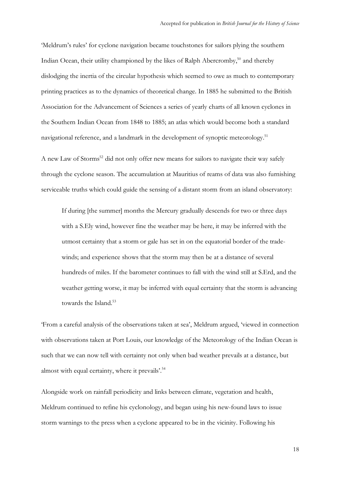'Meldrum's rules' for cyclone navigation became touchstones for sailors plying the southern Indian Ocean, their utility championed by the likes of Ralph Abercromby,<sup>50</sup> and thereby dislodging the inertia of the circular hypothesis which seemed to owe as much to contemporary printing practices as to the dynamics of theoretical change. In 1885 he submitted to the British Association for the Advancement of Sciences a series of yearly charts of all known cyclones in the Southern Indian Ocean from 1848 to 1885; an atlas which would become both a standard navigational reference, and a landmark in the development of synoptic meteorology.<sup>51</sup>

A new Law of Storms<sup>52</sup> did not only offer new means for sailors to navigate their way safely through the cyclone season. The accumulation at Mauritius of reams of data was also furnishing serviceable truths which could guide the sensing of a distant storm from an island observatory:

If during [the summer] months the Mercury gradually descends for two or three days with a S.Ely wind, however fine the weather may be here, it may be inferred with the utmost certainty that a storm or gale has set in on the equatorial border of the tradewinds; and experience shows that the storm may then be at a distance of several hundreds of miles. If the barometer continues to fall with the wind still at S.Erd, and the weather getting worse, it may be inferred with equal certainty that the storm is advancing towards the Island.<sup>53</sup>

'From a careful analysis of the observations taken at sea', Meldrum argued, 'viewed in connection with observations taken at Port Louis, our knowledge of the Meteorology of the Indian Ocean is such that we can now tell with certainty not only when bad weather prevails at a distance, but almost with equal certainty, where it prevails'.<sup>54</sup>

Alongside work on rainfall periodicity and links between climate, vegetation and health, Meldrum continued to refine his cyclonology, and began using his new-found laws to issue storm warnings to the press when a cyclone appeared to be in the vicinity. Following his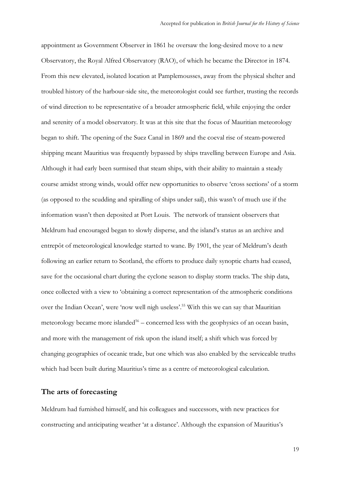appointment as Government Observer in 1861 he oversaw the long-desired move to a new Observatory, the Royal Alfred Observatory (RAO), of which he became the Director in 1874. From this new elevated, isolated location at Pamplemousses, away from the physical shelter and troubled history of the harbour-side site, the meteorologist could see further, trusting the records of wind direction to be representative of a broader atmospheric field, while enjoying the order and serenity of a model observatory. It was at this site that the focus of Mauritian meteorology began to shift. The opening of the Suez Canal in 1869 and the coeval rise of steam-powered shipping meant Mauritius was frequently bypassed by ships travelling between Europe and Asia. Although it had early been surmised that steam ships, with their ability to maintain a steady course amidst strong winds, would offer new opportunities to observe 'cross sections' of a storm (as opposed to the scudding and spiralling of ships under sail), this wasn't of much use if the information wasn't then deposited at Port Louis. The network of transient observers that Meldrum had encouraged began to slowly disperse, and the island's status as an archive and entrepôt of meteorological knowledge started to wane. By 1901, the year of Meldrum's death following an earlier return to Scotland, the efforts to produce daily synoptic charts had ceased, save for the occasional chart during the cyclone season to display storm tracks. The ship data, once collected with a view to 'obtaining a correct representation of the atmospheric conditions over the Indian Ocean', were 'now well nigh useless'.55 With this we can say that Mauritian meteorology became more islanded<sup>56</sup> – concerned less with the geophysics of an ocean basin, and more with the management of risk upon the island itself; a shift which was forced by changing geographies of oceanic trade, but one which was also enabled by the serviceable truths which had been built during Mauritius's time as a centre of meteorological calculation.

## **The arts of forecasting**

Meldrum had furnished himself, and his colleagues and successors, with new practices for constructing and anticipating weather 'at a distance'. Although the expansion of Mauritius's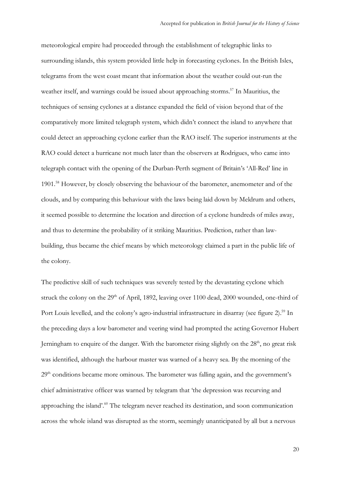meteorological empire had proceeded through the establishment of telegraphic links to surrounding islands, this system provided little help in forecasting cyclones. In the British Isles, telegrams from the west coast meant that information about the weather could out-run the weather itself, and warnings could be issued about approaching storms.<sup>57</sup> In Mauritius, the techniques of sensing cyclones at a distance expanded the field of vision beyond that of the comparatively more limited telegraph system, which didn't connect the island to anywhere that could detect an approaching cyclone earlier than the RAO itself. The superior instruments at the RAO could detect a hurricane not much later than the observers at Rodrigues, who came into telegraph contact with the opening of the Durban-Perth segment of Britain's 'All-Red' line in 1901.58 However, by closely observing the behaviour of the barometer, anemometer and of the clouds, and by comparing this behaviour with the laws being laid down by Meldrum and others, it seemed possible to determine the location and direction of a cyclone hundreds of miles away, and thus to determine the probability of it striking Mauritius. Prediction, rather than lawbuilding, thus became the chief means by which meteorology claimed a part in the public life of the colony.

The predictive skill of such techniques was severely tested by the devastating cyclone which struck the colony on the 29<sup>th</sup> of April, 1892, leaving over 1100 dead, 2000 wounded, one-third of Port Louis levelled, and the colony's agro-industrial infrastructure in disarray (see figure 2).<sup>59</sup> In the preceding days a low barometer and veering wind had prompted the acting Governor Hubert Jerningham to enquire of the danger. With the barometer rising slightly on the  $28<sup>th</sup>$ , no great risk was identified, although the harbour master was warned of a heavy sea. By the morning of the 29<sup>th</sup> conditions became more ominous. The barometer was falling again, and the government's chief administrative officer was warned by telegram that 'the depression was recurving and approaching the island'.<sup>60</sup> The telegram never reached its destination, and soon communication across the whole island was disrupted as the storm, seemingly unanticipated by all but a nervous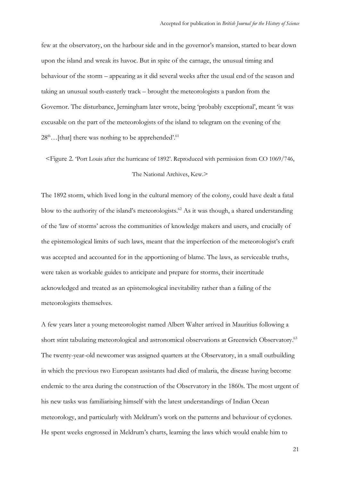few at the observatory, on the harbour side and in the governor's mansion, started to bear down upon the island and wreak its havoc. But in spite of the carnage, the unusual timing and behaviour of the storm – appearing as it did several weeks after the usual end of the season and taking an unusual south-easterly track – brought the meteorologists a pardon from the Governor. The disturbance, Jerningham later wrote, being 'probably exceptional', meant 'it was excusable on the part of the meteorologists of the island to telegram on the evening of the  $28<sup>th</sup>$ ... [that] there was nothing to be apprehended'.<sup>61</sup>

<Figure 2. 'Port Louis after the hurricane of 1892'. Reproduced with permission from CO 1069/746, The National Archives, Kew.>

The 1892 storm, which lived long in the cultural memory of the colony, could have dealt a fatal blow to the authority of the island's meteorologists.<sup>62</sup> As it was though, a shared understanding of the 'law of storms' across the communities of knowledge makers and users, and crucially of the epistemological limits of such laws, meant that the imperfection of the meteorologist's craft was accepted and accounted for in the apportioning of blame. The laws, as serviceable truths, were taken as workable guides to anticipate and prepare for storms, their incertitude acknowledged and treated as an epistemological inevitability rather than a failing of the meteorologists themselves.

A few years later a young meteorologist named Albert Walter arrived in Mauritius following a short stint tabulating meteorological and astronomical observations at Greenwich Observatory.<sup>63</sup> The twenty-year-old newcomer was assigned quarters at the Observatory, in a small outbuilding in which the previous two European assistants had died of malaria, the disease having become endemic to the area during the construction of the Observatory in the 1860s. The most urgent of his new tasks was familiarising himself with the latest understandings of Indian Ocean meteorology, and particularly with Meldrum's work on the patterns and behaviour of cyclones. He spent weeks engrossed in Meldrum's charts, learning the laws which would enable him to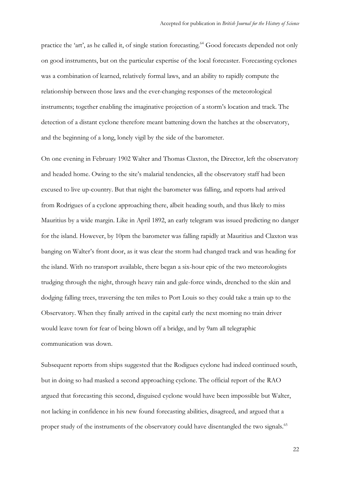practice the 'art', as he called it, of single station forecasting.<sup>64</sup> Good forecasts depended not only on good instruments, but on the particular expertise of the local forecaster. Forecasting cyclones was a combination of learned, relatively formal laws, and an ability to rapidly compute the relationship between those laws and the ever-changing responses of the meteorological instruments; together enabling the imaginative projection of a storm's location and track. The detection of a distant cyclone therefore meant battening down the hatches at the observatory, and the beginning of a long, lonely vigil by the side of the barometer.

On one evening in February 1902 Walter and Thomas Claxton, the Director, left the observatory and headed home. Owing to the site's malarial tendencies, all the observatory staff had been excused to live up-country. But that night the barometer was falling, and reports had arrived from Rodrigues of a cyclone approaching there, albeit heading south, and thus likely to miss Mauritius by a wide margin. Like in April 1892, an early telegram was issued predicting no danger for the island. However, by 10pm the barometer was falling rapidly at Mauritius and Claxton was banging on Walter's front door, as it was clear the storm had changed track and was heading for the island. With no transport available, there began a six-hour epic of the two meteorologists trudging through the night, through heavy rain and gale-force winds, drenched to the skin and dodging falling trees, traversing the ten miles to Port Louis so they could take a train up to the Observatory. When they finally arrived in the capital early the next morning no train driver would leave town for fear of being blown off a bridge, and by 9am all telegraphic communication was down.

Subsequent reports from ships suggested that the Rodigues cyclone had indeed continued south, but in doing so had masked a second approaching cyclone. The official report of the RAO argued that forecasting this second, disguised cyclone would have been impossible but Walter, not lacking in confidence in his new found forecasting abilities, disagreed, and argued that a proper study of the instruments of the observatory could have disentangled the two signals.<sup>65</sup>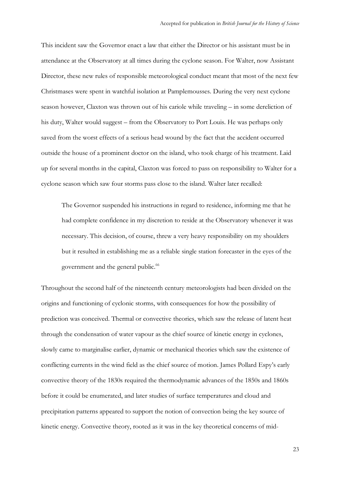This incident saw the Governor enact a law that either the Director or his assistant must be in attendance at the Observatory at all times during the cyclone season. For Walter, now Assistant Director, these new rules of responsible meteorological conduct meant that most of the next few Christmases were spent in watchful isolation at Pamplemousses. During the very next cyclone season however, Claxton was thrown out of his cariole while traveling – in some dereliction of his duty, Walter would suggest – from the Observatory to Port Louis. He was perhaps only saved from the worst effects of a serious head wound by the fact that the accident occurred outside the house of a prominent doctor on the island, who took charge of his treatment. Laid up for several months in the capital, Claxton was forced to pass on responsibility to Walter for a cyclone season which saw four storms pass close to the island. Walter later recalled:

The Governor suspended his instructions in regard to residence, informing me that he had complete confidence in my discretion to reside at the Observatory whenever it was necessary. This decision, of course, threw a very heavy responsibility on my shoulders but it resulted in establishing me as a reliable single station forecaster in the eyes of the government and the general public.<sup>66</sup>

Throughout the second half of the nineteenth century meteorologists had been divided on the origins and functioning of cyclonic storms, with consequences for how the possibility of prediction was conceived. Thermal or convective theories, which saw the release of latent heat through the condensation of water vapour as the chief source of kinetic energy in cyclones, slowly came to marginalise earlier, dynamic or mechanical theories which saw the existence of conflicting currents in the wind field as the chief source of motion. James Pollard Espy's early convective theory of the 1830s required the thermodynamic advances of the 1850s and 1860s before it could be enumerated, and later studies of surface temperatures and cloud and precipitation patterns appeared to support the notion of convection being the key source of kinetic energy. Convective theory, rooted as it was in the key theoretical concerns of mid-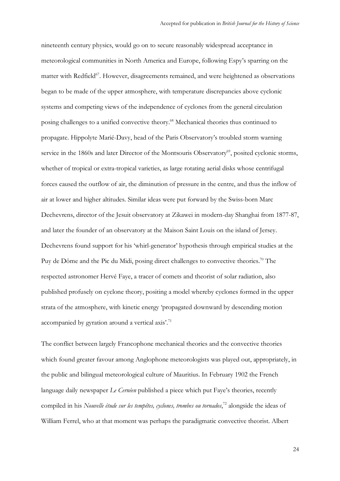nineteenth century physics, would go on to secure reasonably widespread acceptance in meteorological communities in North America and Europe, following Espy's sparring on the matter with Redfield<sup>67</sup>. However, disagreements remained, and were heightened as observations began to be made of the upper atmosphere, with temperature discrepancies above cyclonic systems and competing views of the independence of cyclones from the general circulation posing challenges to a unified convective theory. <sup>68</sup> Mechanical theories thus continued to propagate. Hippolyte Marié-Davy, head of the Paris Observatory's troubled storm warning service in the 1860s and later Director of the Montsouris Observatory<sup>69</sup>, posited cyclonic storms, whether of tropical or extra-tropical varieties, as large rotating aerial disks whose centrifugal forces caused the outflow of air, the diminution of pressure in the centre, and thus the inflow of air at lower and higher altitudes. Similar ideas were put forward by the Swiss-born Marc Dechevrens, director of the Jesuit observatory at Zikawei in modern-day Shanghai from 1877-87, and later the founder of an observatory at the Maison Saint Louis on the island of Jersey. Dechevrens found support for his 'whirl-generator' hypothesis through empirical studies at the Puy de Dôme and the Pic du Midi, posing direct challenges to convective theories.<sup>70</sup> The respected astronomer Hervé Faye, a tracer of comets and theorist of solar radiation, also published profusely on cyclone theory, positing a model whereby cyclones formed in the upper strata of the atmosphere, with kinetic energy 'propagated downward by descending motion accompanied by gyration around a vertical axis'.<sup>71</sup>

The conflict between largely Francophone mechanical theories and the convective theories which found greater favour among Anglophone meteorologists was played out, appropriately, in the public and bilingual meteorological culture of Mauritius. In February 1902 the French language daily newspaper *Le Cernéen* published a piece which put Faye's theories, recently compiled in his *Nouvelle étude sur les tempêtes, cyclones, trombes ou tornados*, <sup>72</sup> alongside the ideas of William Ferrel, who at that moment was perhaps the paradigmatic convective theorist. Albert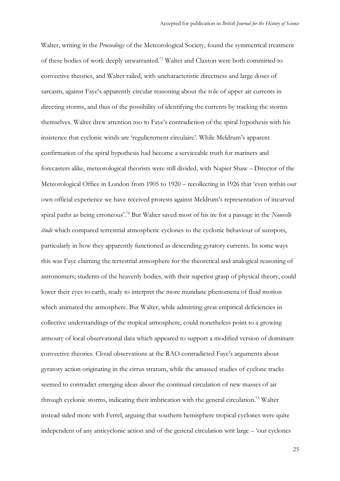Walter, writing in the *Proceedings* of the Meteorological Society, found the symmetrical treatment of these bodies of work deeply unwarranted.73 Walter and Claxton were both committed to convective theories, and Walter railed, with uncharacteristic directness and large doses of sarcasm, against Faye's apparently circular reasoning about the role of upper air currents in directing storms, and thus of the possibility of identifying the currents by tracking the storms themselves. Walter drew attention too to Faye's contradiction of the spiral hypothesis with his insistence that cyclonic winds are 'regulierement circulaire'. While Meldrum's apparent confirmation of the spiral hypothesis had become a serviceable truth for mariners and forecasters alike, meteorological theorists were still divided, with Napier Shaw – Director of the Meteorological Office in London from 1905 to 1920 – recollecting in 1926 that 'even within our own official experience we have received protests against Meldrum's representation of incurved spiral paths as being erroneous'. <sup>74</sup> But Walter saved most of his ire for a passage in the *Nouvelle étude* which compared terrestrial atmospheric cyclones to the cyclonic behaviour of sunspots, particularly in how they apparently functioned as descending gyratory currents. In some ways this was Faye claiming the terrestrial atmosphere for the theoretical and analogical reasoning of astronomers; students of the heavenly bodies, with their superior grasp of physical theory, could lower their eyes to earth, ready to interpret the more mundane phenomena of fluid motion which animated the atmosphere. But Walter, while admitting great empirical deficiencies in collective understandings of the tropical atmosphere, could nonetheless point to a growing armoury of local observational data which appeared to support a modified version of dominant convective theories. Cloud observations at the RAO contradicted Faye's arguments about gyratory action originating in the cirrus stratum, while the amassed studies of cyclone tracks seemed to contradict emerging ideas about the continual circulation of new masses of air through cyclonic storms, indicating their imbrication with the general circulation.<sup>75</sup> Walter instead sided more with Ferrel, arguing that southern hemisphere tropical cyclones were quite independent of any anticyclonic action and of the general circulation writ large – 'our cyclones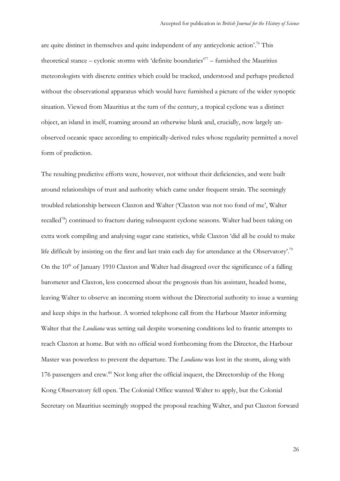are quite distinct in themselves and quite independent of any anticyclonic action'.76 This theoretical stance – cyclonic storms with 'definite boundaries $377$  – furnished the Mauritius meteorologists with discrete entities which could be tracked, understood and perhaps predicted without the observational apparatus which would have furnished a picture of the wider synoptic situation. Viewed from Mauritius at the turn of the century, a tropical cyclone was a distinct object, an island in itself, roaming around an otherwise blank and, crucially, now largely unobserved oceanic space according to empirically-derived rules whose regularity permitted a novel form of prediction.

The resulting predictive efforts were, however, not without their deficiencies, and were built around relationships of trust and authority which came under frequent strain. The seemingly troubled relationship between Claxton and Walter ('Claxton was not too fond of me', Walter recalled78) continued to fracture during subsequent cyclone seasons. Walter had been taking on extra work compiling and analysing sugar cane statistics, while Claxton 'did all he could to make life difficult by insisting on the first and last train each day for attendance at the Observatory'.<sup>79</sup> On the  $10<sup>th</sup>$  of January 1910 Claxton and Walter had disagreed over the significance of a falling barometer and Claxton, less concerned about the prognosis than his assistant, headed home, leaving Walter to observe an incoming storm without the Directorial authority to issue a warning and keep ships in the harbour. A worried telephone call from the Harbour Master informing Walter that the *Loodiana* was setting sail despite worsening conditions led to frantic attempts to reach Claxton at home. But with no official word forthcoming from the Director, the Harbour Master was powerless to prevent the departure. The *Loodiana* was lost in the storm, along with 176 passengers and crew.<sup>80</sup> Not long after the official inquest, the Directorship of the Hong Kong Observatory fell open. The Colonial Office wanted Walter to apply, but the Colonial Secretary on Mauritius seemingly stopped the proposal reaching Walter, and put Claxton forward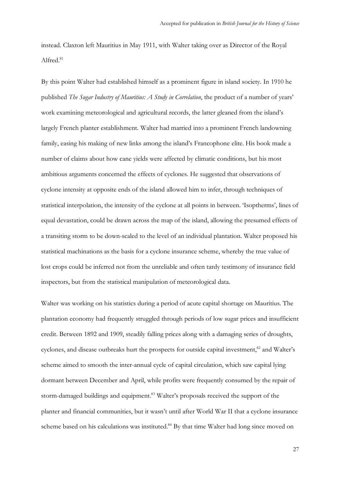instead. Claxton left Mauritius in May 1911, with Walter taking over as Director of the Royal Alfred.<sup>81</sup>

By this point Walter had established himself as a prominent figure in island society. In 1910 he published *The Sugar Industry of Mauritius: A Study in Correlation*, the product of a number of years' work examining meteorological and agricultural records, the latter gleaned from the island's largely French planter establishment. Walter had married into a prominent French landowning family, easing his making of new links among the island's Francophone elite. His book made a number of claims about how cane yields were affected by climatic conditions, but his most ambitious arguments concerned the effects of cyclones. He suggested that observations of cyclone intensity at opposite ends of the island allowed him to infer, through techniques of statistical interpolation, the intensity of the cyclone at all points in between. 'Isoptherms', lines of equal devastation, could be drawn across the map of the island, allowing the presumed effects of a transiting storm to be down-scaled to the level of an individual plantation. Walter proposed his statistical machinations as the basis for a cyclone insurance scheme, whereby the true value of lost crops could be inferred not from the unreliable and often tardy testimony of insurance field inspectors, but from the statistical manipulation of meteorological data.

Walter was working on his statistics during a period of acute capital shortage on Mauritius. The plantation economy had frequently struggled through periods of low sugar prices and insufficient credit. Between 1892 and 1909, steadily falling prices along with a damaging series of droughts, cyclones, and disease outbreaks hurt the prospects for outside capital investment,<sup>82</sup> and Walter's scheme aimed to smooth the inter-annual cycle of capital circulation, which saw capital lying dormant between December and April, while profits were frequently consumed by the repair of storm-damaged buildings and equipment. <sup>83</sup> Walter's proposals received the support of the planter and financial communities, but it wasn't until after World War II that a cyclone insurance scheme based on his calculations was instituted.<sup>84</sup> By that time Walter had long since moved on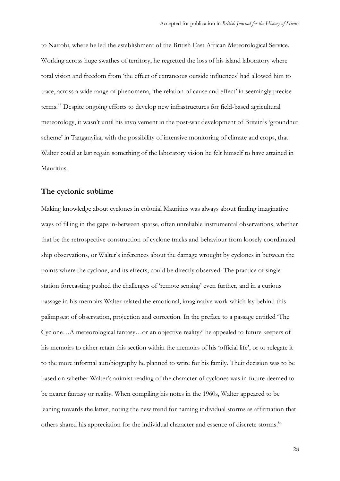to Nairobi, where he led the establishment of the British East African Meteorological Service. Working across huge swathes of territory, he regretted the loss of his island laboratory where total vision and freedom from 'the effect of extraneous outside influences' had allowed him to trace, across a wide range of phenomena, 'the relation of cause and effect' in seemingly precise terms.85 Despite ongoing efforts to develop new infrastructures for field-based agricultural meteorology, it wasn't until his involvement in the post-war development of Britain's 'groundnut scheme' in Tanganyika, with the possibility of intensive monitoring of climate and crops, that Walter could at last regain something of the laboratory vision he felt himself to have attained in Mauritius.

#### **The cyclonic sublime**

Making knowledge about cyclones in colonial Mauritius was always about finding imaginative ways of filling in the gaps in-between sparse, often unreliable instrumental observations, whether that be the retrospective construction of cyclone tracks and behaviour from loosely coordinated ship observations, or Walter's inferences about the damage wrought by cyclones in between the points where the cyclone, and its effects, could be directly observed. The practice of single station forecasting pushed the challenges of 'remote sensing' even further, and in a curious passage in his memoirs Walter related the emotional, imaginative work which lay behind this palimpsest of observation, projection and correction. In the preface to a passage entitled 'The Cyclone…A meteorological fantasy…or an objective reality?' he appealed to future keepers of his memoirs to either retain this section within the memoirs of his 'official life', or to relegate it to the more informal autobiography he planned to write for his family. Their decision was to be based on whether Walter's animist reading of the character of cyclones was in future deemed to be nearer fantasy or reality. When compiling his notes in the 1960s, Walter appeared to be leaning towards the latter, noting the new trend for naming individual storms as affirmation that others shared his appreciation for the individual character and essence of discrete storms.<sup>86</sup>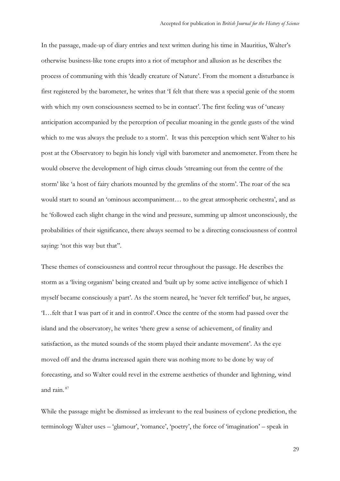In the passage, made-up of diary entries and text written during his time in Mauritius, Walter's otherwise business-like tone erupts into a riot of metaphor and allusion as he describes the process of communing with this 'deadly creature of Nature'. From the moment a disturbance is first registered by the barometer, he writes that 'I felt that there was a special genie of the storm with which my own consciousness seemed to be in contact'. The first feeling was of 'uneasy anticipation accompanied by the perception of peculiar moaning in the gentle gusts of the wind which to me was always the prelude to a storm'. It was this perception which sent Walter to his post at the Observatory to begin his lonely vigil with barometer and anemometer. From there he would observe the development of high cirrus clouds 'streaming out from the centre of the storm' like 'a host of fairy chariots mounted by the gremlins of the storm'. The roar of the sea would start to sound an 'ominous accompaniment… to the great atmospheric orchestra', and as he 'followed each slight change in the wind and pressure, summing up almost unconsciously, the probabilities of their significance, there always seemed to be a directing consciousness of control saying: 'not this way but that".

These themes of consciousness and control recur throughout the passage. He describes the storm as a 'living organism' being created and 'built up by some active intelligence of which I myself became consciously a part'. As the storm neared, he 'never felt terrified' but, he argues, 'I…felt that I was part of it and in control'.Once the centre of the storm had passed over the island and the observatory, he writes 'there grew a sense of achievement, of finality and satisfaction, as the muted sounds of the storm played their andante movement'. As the eye moved off and the drama increased again there was nothing more to be done by way of forecasting, and so Walter could revel in the extreme aesthetics of thunder and lightning, wind and rain. <sup>87</sup>

While the passage might be dismissed as irrelevant to the real business of cyclone prediction, the terminology Walter uses – 'glamour', 'romance', 'poetry', the force of 'imagination' – speak in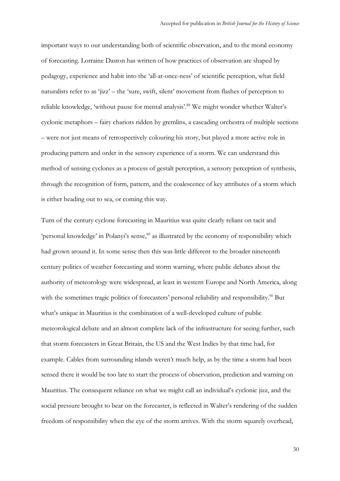important ways to our understanding both of scientific observation, and to the moral economy of forecasting. Lorraine Daston has written of how practices of observation are shaped by pedagogy, experience and habit into the 'all-at-once-ness' of scientific perception, what field naturalists refer to as 'jizz' – the 'sure, swift, silent' movement from flashes of perception to reliable knowledge, 'without pause for mental analysis'.<sup>88</sup> We might wonder whether Walter's cyclonic metaphors – fairy chariots ridden by gremlins, a cascading orchestra of multiple sections – were not just means of retrospectively colouring his story, but played a more active role in producing pattern and order in the sensory experience of a storm. We can understand this method of sensing cyclones as a process of gestalt perception, a sensory perception of synthesis, through the recognition of form, pattern, and the coalescence of key attributes of a storm which is either heading out to sea, or coming this way.

Turn of the century cyclone forecasting in Mauritius was quite clearly reliant on tacit and 'personal knowledge' in Polanyi's sense,<sup>89</sup> as illustrated by the economy of responsibility which had grown around it. In some sense then this was little different to the broader nineteenth century politics of weather forecasting and storm warning, where public debates about the authority of meteorology were widespread, at least in western Europe and North America, along with the sometimes tragic politics of forecasters' personal reliability and responsibility.<sup>90</sup> But what's unique in Mauritius is the combination of a well-developed culture of public meteorological debate and an almost complete lack of the infrastructure for seeing further, such that storm forecasters in Great Britain, the US and the West Indies by that time had, for example. Cables from surrounding islands weren't much help, as by the time a storm had been sensed there it would be too late to start the process of observation, prediction and warning on Mauritius. The consequent reliance on what we might call an individual's cyclonic jizz, and the social pressure brought to bear on the forecaster, is reflected in Walter's rendering of the sudden freedom of responsibility when the eye of the storm arrives. With the storm squarely overhead,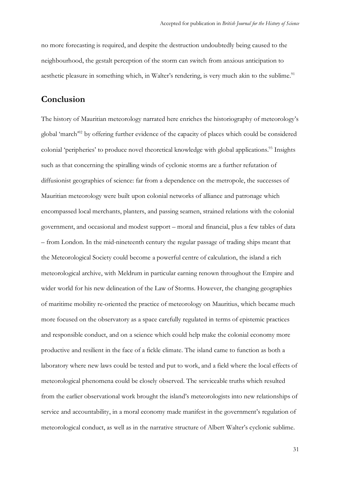no more forecasting is required, and despite the destruction undoubtedly being caused to the neighbourhood, the gestalt perception of the storm can switch from anxious anticipation to aesthetic pleasure in something which, in Walter's rendering, is very much akin to the sublime.<sup>91</sup>

# **Conclusion**

The history of Mauritian meteorology narrated here enriches the historiography of meteorology's global 'march<sup>992</sup> by offering further evidence of the capacity of places which could be considered colonial 'peripheries' to produce novel theoretical knowledge with global applications. <sup>93</sup> Insights such as that concerning the spiralling winds of cyclonic storms are a further refutation of diffusionist geographies of science: far from a dependence on the metropole, the successes of Mauritian meteorology were built upon colonial networks of alliance and patronage which encompassed local merchants, planters, and passing seamen, strained relations with the colonial government, and occasional and modest support – moral and financial, plus a few tables of data – from London. In the mid-nineteenth century the regular passage of trading ships meant that the Meteorological Society could become a powerful centre of calculation, the island a rich meteorological archive, with Meldrum in particular earning renown throughout the Empire and wider world for his new delineation of the Law of Storms. However, the changing geographies of maritime mobility re-oriented the practice of meteorology on Mauritius, which became much more focused on the observatory as a space carefully regulated in terms of epistemic practices and responsible conduct, and on a science which could help make the colonial economy more productive and resilient in the face of a fickle climate. The island came to function as both a laboratory where new laws could be tested and put to work, and a field where the local effects of meteorological phenomena could be closely observed. The serviceable truths which resulted from the earlier observational work brought the island's meteorologists into new relationships of service and accountability, in a moral economy made manifest in the government's regulation of meteorological conduct, as well as in the narrative structure of Albert Walter's cyclonic sublime.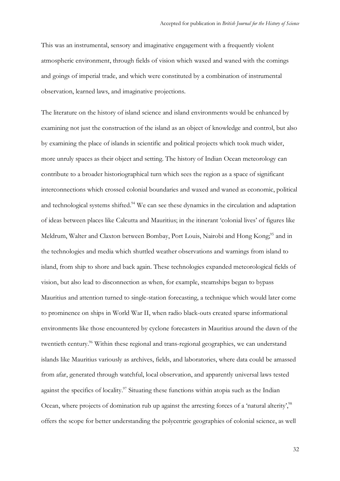This was an instrumental, sensory and imaginative engagement with a frequently violent atmospheric environment, through fields of vision which waxed and waned with the comings and goings of imperial trade, and which were constituted by a combination of instrumental observation, learned laws, and imaginative projections.

The literature on the history of island science and island environments would be enhanced by examining not just the construction of the island as an object of knowledge and control, but also by examining the place of islands in scientific and political projects which took much wider, more unruly spaces as their object and setting. The history of Indian Ocean meteorology can contribute to a broader historiographical turn which sees the region as a space of significant interconnections which crossed colonial boundaries and waxed and waned as economic, political and technological systems shifted.<sup>94</sup> We can see these dynamics in the circulation and adaptation of ideas between places like Calcutta and Mauritius; in the itinerant 'colonial lives' of figures like Meldrum, Walter and Claxton between Bombay, Port Louis, Nairobi and Hong Kong;<sup>95</sup> and in the technologies and media which shuttled weather observations and warnings from island to island, from ship to shore and back again. These technologies expanded meteorological fields of vision, but also lead to disconnection as when, for example, steamships began to bypass Mauritius and attention turned to single-station forecasting, a technique which would later come to prominence on ships in World War II, when radio black-outs created sparse informational environments like those encountered by cyclone forecasters in Mauritius around the dawn of the twentieth century.<sup>96</sup> Within these regional and trans-regional geographies, we can understand islands like Mauritius variously as archives, fields, and laboratories, where data could be amassed from afar, generated through watchful, local observation, and apparently universal laws tested against the specifics of locality.<sup>97</sup> Situating these functions within atopia such as the Indian Ocean, where projects of domination rub up against the arresting forces of a 'natural alterity',<sup>98</sup> offers the scope for better understanding the polycentric geographies of colonial science, as well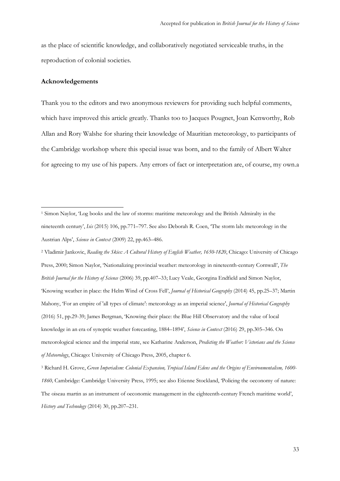as the place of scientific knowledge, and collaboratively negotiated serviceable truths, in the reproduction of colonial societies.

#### **Acknowledgements**

 $\overline{\phantom{a}}$ 

Thank you to the editors and two anonymous reviewers for providing such helpful comments, which have improved this article greatly. Thanks too to Jacques Pougnet, Joan Kenworthy, Rob Allan and Rory Walshe for sharing their knowledge of Mauritian meteorology, to participants of the Cambridge workshop where this special issue was born, and to the family of Albert Walter for agreeing to my use of his papers. Any errors of fact or interpretation are, of course, my own.a

<sup>1</sup> Simon Naylor, 'Log books and the law of storms: maritime meteorology and the British Admiralty in the nineteenth century', *Isis* (2015) 106, pp.771–797. See also Deborah R. Coen, 'The storm lab: meteorology in the Austrian Alps', *Science in Context* (2009) 22, pp.463–486.

<sup>2</sup> Vladimir Jankovic, *Reading the Skies: A Cultural History of English Weather, 1650-1820*, Chicago: University of Chicago Press, 2000; Simon Naylor, 'Nationalizing provincial weather: meteorology in nineteenth-century Cornwall', *The British Journal for the History of Science* (2006) 39, pp.407–33; Lucy Veale, Georgina Endfield and Simon Naylor, 'Knowing weather in place: the Helm Wind of Cross Fell', *Journal of Historical Geography* (2014) 45, pp.25–37; Martin Mahony, 'For an empire of 'all types of climate': meteorology as an imperial science', *Journal of Historical Geography*  (2016) 51, pp.29-39; James Bergman, 'Knowing their place: the Blue Hill Observatory and the value of local knowledge in an era of synoptic weather forecasting, 1884–1894', *Science in Context* (2016) 29, pp.305–346. On meteorological science and the imperial state, see Katharine Anderson, *Predicting the Weather: Victorians and the Science of Meteorology*, Chicago: University of Chicago Press, 2005, chapter 6.

<sup>3</sup> Richard H. Grove, *Green Imperialism: Colonial Expansion, Tropical Island Edens and the Origins of Environmentalism, 1600- 1860,* Cambridge: Cambridge University Press, 1995; see also Etienne Stockland, 'Policing the oeconomy of nature: The oiseau martin as an instrument of oeconomic management in the eighteenth-century French maritime world', *History and Technology* (2014) 30, pp.207–231.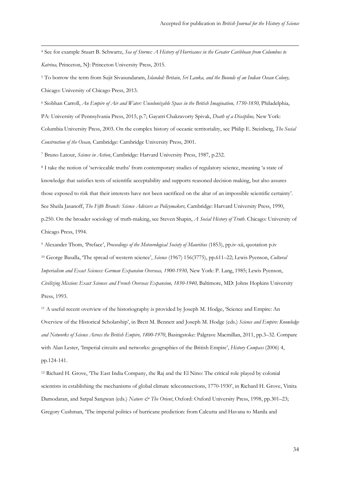<sup>4</sup> See for example Stuart B. Schwartz, *Sea of Storms: A History of Hurricanes in the Greater Caribbean from Columbus to Katrina,* Princeton, NJ: Princeton University Press, 2015.

<sup>5</sup> To borrow the term from Sujit Sivasundaram, *Islanded: Britain, Sri Lanka, and the Bounds of an Indian Ocean Colony,* Chicago: University of Chicago Press, 2013.

<sup>6</sup> Siobhan Carroll, *An Empire of Air and Water: Uncolonizable Space in the British Imagination, 1750-1850,* Philadelphia, PA: University of Pennsylvania Press, 2015, p.7; Gayatri Chakravorty Spivak, *Death of a Discipline,* New York: Columbia University Press, 2003. On the complex history of oceanic territoriality, see Philip E. Steinberg, *The Social Construction of the Ocean,* Cambridge: Cambridge University Press, 2001.

<sup>7</sup> Bruno Latour, *Science in Action*, Cambridge: Harvard University Press, 1987, p.232.

 $\overline{a}$ 

<sup>8</sup> I take the notion of 'serviceable truths' from contemporary studies of regulatory science, meaning 'a state of knowledge that satisfies tests of scientific acceptability and supports reasoned decision making, but also assures those exposed to risk that their interests have not been sacrificed on the altar of an impossible scientific certainty'. See Sheila Jasanoff, *The Fifth Branch: Science Advisers as Policymakers,* Cambridge: Harvard University Press, 1990, p.250. On the broader sociology of truth-making, see Steven Shapin, *A Social History of Truth*. Chicago: University of Chicago Press, 1994.

<sup>9</sup> Alexander Thom, 'Preface', *Proceedings of the Meteorological Society of Mauritius* (1853), pp.iv-xii, quotation p.iv <sup>10</sup> George Basalla, 'The spread of western science', *Science* (1967) 156(3775), pp.611–22; Lewis Pyenson, *Cultural Imperialism and Exact Sciences: German Expansion Overseas, 1900-1930,* New York: P. Lang, 1985; Lewis Pyenson, *Civilizing Mission: Exact Sciences and French Overseas Expansion, 1830-1940,* Baltimore, MD: Johns Hopkins University Press, 1993.

<sup>11</sup> A useful recent overview of the historiography is provided by Joseph M. Hodge, 'Science and Empire: An Overview of the Historical Scholarship', in Brett M. Bennett and Joseph M. Hodge (eds.) *Science and Empire: Knowledge and Networks of Science Across the British Empire, 1800-1970*, Basingstoke: Palgrave Macmillan, 2011, pp.3–32. Compare with Alan Lester, 'Imperial circuits and networks: geographies of the British Empire', *History Compass* (2006) 4, pp.124-141.

<sup>12</sup> Richard H. Grove, 'The East India Company, the Raj and the El Nino: The critical role played by colonial scientists in establishing the mechanisms of global climate teleconnections, 1770-1930', in Richard H. Grove, Vinita Damodaran, and Satpal Sangwan (eds.) *Nature & The Orient*, Oxford: Oxford University Press, 1998, pp.301–23; Gregory Cushman, 'The imperial politics of hurricane prediction: from Calcutta and Havana to Manila and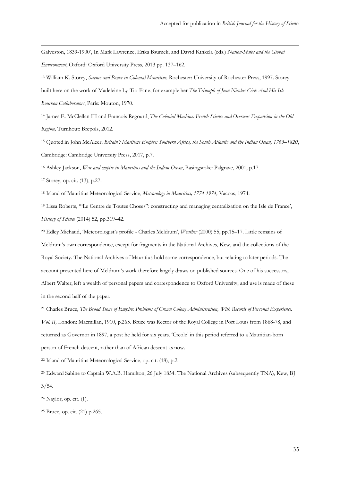Galveston, 1839-1900', In Mark Lawrence, Erika Bsumek, and David Kinkela (eds.) *Nation-States and the Global Environment*, Oxford: Oxford University Press, 2013 pp. 137–162.

<sup>13</sup> William K. Storey, *Science and Power in Colonial Mauritius,* Rochester: University of Rochester Press, 1997. Storey built here on the work of Madeleine Ly-Tio-Fane, for example her *The Triumph of Jean Nicolas Céré: And His Isle Bourbon Collaborators*, Paris: Mouton, 1970.

<sup>14</sup> James E. McClellan III and Francois Regourd, *The Colonial Machine: French Science and Overseas Expansion in the Old Regime,* Turnhout: Brepols, 2012.

<sup>15</sup> Quoted in John McAleer, *Britain's Maritime Empire: Southern Africa, the South Atlantic and the Indian Ocean, 1763–1820*, Cambridge: Cambridge University Press, 2017, p.7.

<sup>16</sup> Ashley Jackson, *War and empire in Mauritius and the Indian Ocean*, Basingstoke: Palgrave, 2001, p.17.

<sup>17</sup> Storey, op. cit. (13), p.27.

 $\overline{a}$ 

<sup>18</sup> Island of Mauritius Meteorological Service, *Meteorology in Mauritius, 1774-1974,* Vacoas, 1974.

<sup>19</sup> Lissa Roberts, '"Le Centre de Toutes Choses": constructing and managing centralization on the Isle de France', *History of Science* (2014) 52, pp.319–42.

<sup>20</sup> Edley Michaud, 'Meteorologist's profile - Charles Meldrum', *Weather* (2000) 55, pp.15–17. Little remains of Meldrum's own correspondence, except for fragments in the National Archives, Kew, and the collections of the Royal Society. The National Archives of Mauritius hold some correspondence, but relating to later periods. The account presented here of Meldrum's work therefore largely draws on published sources. One of his successors, Albert Walter, left a wealth of personal papers and correspondence to Oxford University, and use is made of these in the second half of the paper.

<sup>21</sup> Charles Bruce, *The Broad Stone of Empire: Problems of Crown Colony Administration, With Records of Personal Experience. Vol. II,* London: Macmillan, 1910, p.265. Bruce was Rector of the Royal College in Port Louis from 1868-78, and returned as Governor in 1897, a post he held for six years. 'Creole' in this period referred to a Mauritian-born person of French descent, rather than of African descent as now.

<sup>22</sup> Island of Mauritius Meteorological Service, op. cit. (18), p.2

<sup>23</sup> Edward Sabine to Captain W.A.B. Hamilton, 26 July 1854. The National Archives (subsequently TNA), Kew, BJ  $3/54.$ 

<sup>24</sup> Naylor, op. cit. (1).

<sup>25</sup> Bruce, op. cit. (21) p.265.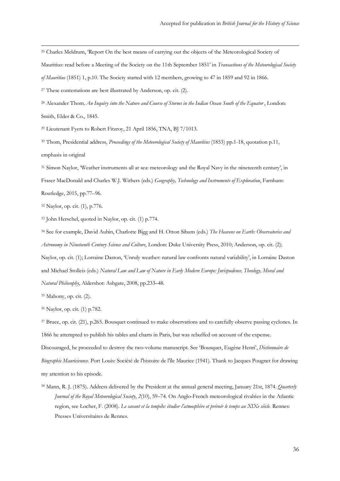<sup>26</sup> Charles Meldrum, 'Report On the best means of carrying out the objects of the Meteorological Society of

Mauritius: read before a Meeting of the Society on the 11th September 1851' in *Transactions of the Meteorological Society* 

*of Mauritius* (1851) 1, p.10. The Society started with 12 members, growing to 47 in 1859 and 92 in 1866.

<sup>27</sup> These contestations are best illustrated by Anderson, op. cit. (2).

<sup>28</sup> Alexander Thom, *An Inquiry into the Nature and Course of Storms in the Indian Ocean South of the Equator* , London: Smith, Elder & Co., 1845.

<sup>29</sup> Lieutenant Fyers to Robert Fitzroy, 21 April 1856, TNA, BI 7/1013.

<sup>30</sup> Thom, Presidential address, *Proceedings of the Meteorological Society of Mauritius* (1853) pp.1-18, quotation p.11, emphasis in original

<sup>31</sup> Simon Naylor, 'Weather instruments all at sea: meteorology and the Royal Navy in the nineteenth century', in Fraser MacDonald and Charles W.J. Withers (eds.) *Geography, Technology and Instruments of Exploration*, Farnham: Routledge, 2015, pp.77–96.

<sup>32</sup> Naylor, op. cit. (1), p.776.

 $\overline{a}$ 

<sup>33</sup> John Herschel, quoted in Naylor, op. cit. (1) p.774.

<sup>34</sup> See for example, David Aubin, Charlotte Bigg and H. Otton Sibum (eds.) *The Heavens on Earth: Observatories and Astronomy in Nineteenth Century Science and Culture*, London: Duke University Press, 2010; Anderson, op. cit. (2); Naylor, op. cit. (1); Lorraine Daston, 'Unruly weather: natural law confronts natural variability', in Lorraine Daston and Michael Stolleis (eds.) *Natural Law and Law of Nature in Early Modern Europe: Jurispudence, Theology, Moral and Natural Philosophy*, Aldershot: Ashgate, 2008, pp.233–48.

<sup>35</sup> Mahony, op. cit. (2).

<sup>36</sup> Naylor, op. cit. (1) p.782.

<sup>37</sup> Bruce, op. cit. (21), p.265. Bousquet continued to make observations and to carefully observe passing cyclones. In 1866 he attempted to publish his tables and charts in Paris, but was rebuffed on account of the expense. Discouraged, he proceeded to destroy the two-volume manuscript. See 'Bousquet, Eugène Henri', *Dictionnaire de Biographie Mauriciennce.* Port Louis: Société de l'histoire de l'i̇le Maurice (1941). Thank to Jacques Pougnet for drawing my attention to his episode.

<sup>38</sup> Mann, R. J. (1875). Address delivered by the President at the annual general meeting, January 21st, 1874. *Quarterly Journal of the Royal Meteorological Society*, *2*(10), 59–74. On Anglo-French meteorological rivalries in the Atlantic region, see Locher, F. (2008). *Le savant et la tempête: étudier l'atmosphère et prévoir le temps au XIXe siècle*. Rennes: Presses Universitaires de Rennes.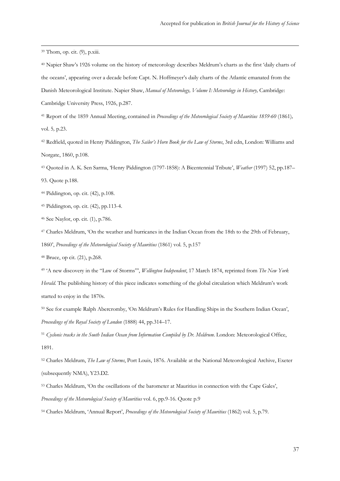$39$  Thom, op. cit.  $(9)$ , p.xiii.

 $\overline{a}$ 

<sup>40</sup> Napier Shaw's 1926 volume on the history of meteorology describes Meldrum's charts as the first 'daily charts of the oceans', appearing over a decade before Capt. N. Hoffmeyer's daily charts of the Atlantic emanated from the Danish Meteorological Institute. Napier Shaw, *Manual of Meteorology, Volume I: Meteorology in History,* Cambridge: Cambridge University Press, 1926, p.287.

<sup>41</sup> Report of the 1859 Annual Meeting, contained in *Proceedings of the Meteorological Society of Mauritius 1859-60* (1861)*,*  vol. 5*,* p.23.

<sup>42</sup> Redfield, quoted in Henry Piddington, *The Sailor's Horn Book for the Law of Storms*, 3rd edn, London: Williams and Norgate, 1860, p.108.

<sup>43</sup> Quoted in A. K. Sen Sarma, 'Henry Piddington (1797-1858): A Bicentennial Tribute', *Weather* (1997) 52, pp.187– 93. Quote p.188.

<sup>44</sup> Piddington, op. cit. (42), p.108.

<sup>45</sup> Piddington, op. cit. (42), pp.113-4.

<sup>46</sup> See Naylor, op. cit. (1), p.786.

<sup>47</sup> Charles Meldrum, 'On the weather and hurricanes in the Indian Ocean from the 18th to the 29th of February, 1860', *Proceedings of the Meteorological Society of Mauritius* (1861) vol. 5, p.157

<sup>48</sup> Bruce, op cit. (21), p.268.

<sup>49</sup> 'A new discovery in the "Law of Storms"', *Wellington Independent*, 17 March 1874, reprinted from *The New York Herald*. The publishing history of this piece indicates something of the global circulation which Meldrum's work started to enjoy in the 1870s.

<sup>50</sup> See for example Ralph Abercromby, 'On Meldrum's Rules for Handling Ships in the Southern Indian Ocean', *Proceedings of the Royal Society of London* (1888) 44, pp.314–17.

<sup>51</sup> *Cyclonic tracks in the South Indian Ocean from Information Compiled by Dr. Meldrum*. London: Meteorological Office, 1891.

<sup>52</sup> Charles Meldrum, *The Law of Storms*, Port Louis, 1876. Available at the National Meteorological Archive, Exeter (subsequently NMA), Y23.D2.

<sup>53</sup> Charles Meldrum, 'On the oscillations of the barometer at Mauritius in connection with the Cape Gales', *Proceedings of the Meteorological Society of Mauritius* vol. 6, pp.9-16. Quote p.9

<sup>54</sup> Charles Meldrum, 'Annual Report', *Proceedings of the Meteorological Society of Mauritius* (1862) vol. 5, p.79.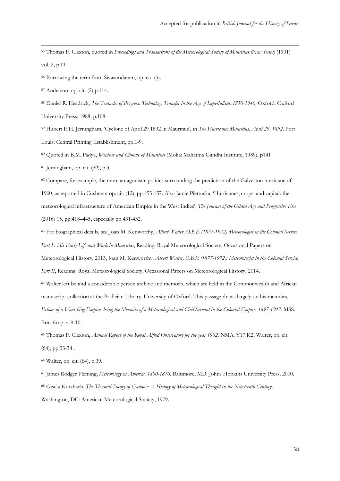<sup>55</sup> Thomas F. Claxton, quoted in *Proceedings and Transactions of the Meteorological Society of Mauritius (New Series)* (1901) vol. 2, p.11

<sup>56</sup> Borrowing the term from Sivasundaram, op. cit. (5).

<sup>57</sup> Anderson, op. cit. (2) p.114.

 $\overline{a}$ 

<sup>58</sup> Daniel R. Headrick, *The Tentacles of Progress: Technology Transfer in the Age of Imperialism, 1850-1940,* Oxford: Oxford University Press, 1988, p.108.

<sup>59</sup> Hubert E.H. Jerningham, 'Cyclone of April 29 1892 in Mauritius', in *The Hurricane: Mauritius, April 29, 1892*. Port Louis: Central Printing Establishment, pp.1-9.

<sup>60</sup> Quoted in B.M. Padya, *Weather and Climate of Mauritius* (Moka: Mahatma Gandhi Institute, 1989), p141

<sup>61</sup> Jerningham, op. cit. (59), p.3.

<sup>62</sup> Compare, for example, the more antagonistic politics surrounding the prediction of the Galveston hurricane of 1900, as reported in Cushman op. cit. (12), pp.155-157. Also Jamie Pietruska, 'Hurricanes, crops, and capital: the meteorological infrastructure of American Empire in the West Indies', *The Journal of the Gilded Age and Progressive Era*  (2016) 15, pp.418–445, especially pp.431-432.

<sup>63</sup> For biographical details, see Joan M. Kenworthy, *Albert Walter, O.B.E (1877-1972) Meteorologist in the Colonial Service Part I : His Early Life and Work in Mauritius*, Reading: Royal Meteorological Society, Occasional Papers on Meteorological History, 2013, Joan M. Kenworthy, *Albert Walter, O.B.E (1877-1972): Meteorologist in the Colonial Service, Part II*, Reading: Royal Meteorological Society, Occasional Papers on Meteorological History, 2014. <sup>64</sup> Walter left behind a considerable person archive and memoirs, which are held in the Commonwealth and African manuscript collection at the Bodleian Library, University of Oxford. This passage draws largely on his memoirs, *Echoes of a Vanishing Empire, being the Memoirs of a Meteorological and Civil Servant in the Colonial Empire, 1897-1947*. MSS.

Brit. Emp. r. 9-10.

<sup>65</sup> Thomas F. Claxton, *Annual Report of the Royal Alfred Observatory for the year 1902*. NMA, Y17.K2; Walter, op. cit. (64), pp.33-34 .

<sup>66</sup> Walter, op. cit. (64), p.39.

<sup>67</sup> James Rodger Fleming, *Meteorology in America, 1800-1870,* Baltimore, MD: Johns Hopkins University Press, 2000. <sup>68</sup> Gisela Kutzbach, *The Thermal Theory of Cyclones: A History of Meteorological Thought in the Nineteenth Century,* Washington, DC: American Meteorological Society, 1979.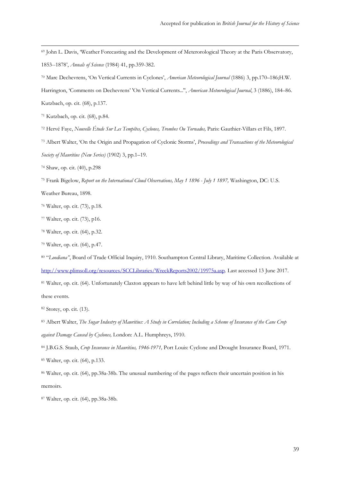John L. Davis, 'Weather Forecasting and the Development of Meterorological Theory at the Paris Observatory, 1853--1878', *Annals of Science* (1984) 41, pp.359-382.

Marc Dechevrens, 'On Vertical Currents in Cyclones', *American Meteorological Journal* (1886) 3, pp.170–186;H.W.

Harrington, 'Comments on Dechevrens' 'On Vertical Currents...'', *American Meteorological Journal*, 3 (1886), 184–86.

Kutzbach, op. cit. (68), p.137.

 $\overline{a}$ 

Kutzbach, op. cit. (68), p.84.

Hervé Faye, *Nouvelle Étude Sur Les Tempêtes, Cyclones, Trombes Ou Tornados,* Paris: Gauthier-Villars et Fils, 1897.

 Albert Walter, 'On the Origin and Propagation of Cyclonic Storms', *Proceedings and Transactions of the Meteorological Society of Mauritius (New Series)* (1902) 3, pp.1–19.

Shaw, op. cit. (40), p.298

Frank Bigelow, *Report on the International Cloud Observations, May 1 1896 - July 1 1897,* Washington, DC: U.S.

Weather Bureau, 1898.

Walter, op. cit. (73), p.18.

Walter, op. cit. (73), p16.

Walter, op. cit. (64), p.32.

Walter, op. cit. (64), p.47.

80 "Loodiana", Board of Trade Official Inquiry, 1910. Southampton Central Library, Maritime Collection. Available at http://www.plimsoll.org/resources/SCCLibraries/WreckReports2002/19975a.asp. Last accessed 13 June 2017.

 Walter, op. cit. (64). Unfortunately Claxton appears to have left behind little by way of his own recollections of these events.

Storey, op. cit. (13).

 Albert Walter, *The Sugar Industry of Mauritius: A Study in Correlation; Including a Scheme of Insurance of the Cane Crop against Damage Caused by Cyclones,* London: A.L. Humphreys, 1910.

 J.B.G.S. Staub, *Crop Insurance in Mauritius, 1946-1971,* Port Louis: Cyclone and Drought Insurance Board, 1971. Walter, op. cit. (64), p.133.

 Walter, op. cit. (64), pp.38a-38b. The unusual numbering of the pages reflects their uncertain position in his memoirs.

Walter, op. cit. (64), pp.38a-38b.